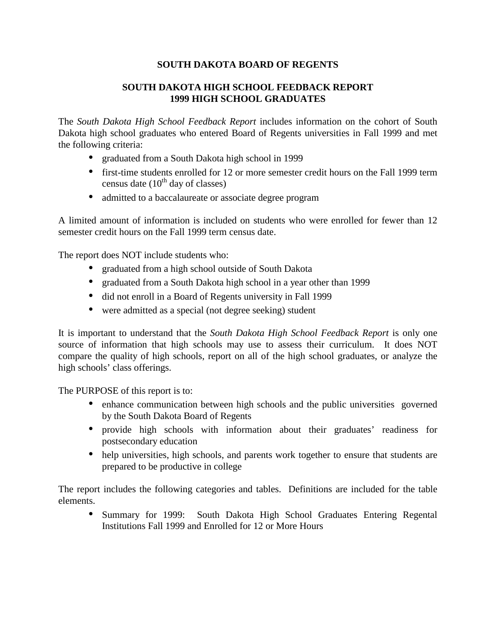# **SOUTH DAKOTA BOARD OF REGENTS**

# **SOUTH DAKOTA HIGH SCHOOL FEEDBACK REPORT 1999 HIGH SCHOOL GRADUATES**

The *South Dakota High School Feedback Report* includes information on the cohort of South Dakota high school graduates who entered Board of Regents universities in Fall 1999 and met the following criteria:

- graduated from a South Dakota high school in 1999
- first-time students enrolled for 12 or more semester credit hours on the Fall 1999 term census date  $(10^{th}$  day of classes)
- admitted to a baccalaureate or associate degree program

A limited amount of information is included on students who were enrolled for fewer than 12 semester credit hours on the Fall 1999 term census date.

The report does NOT include students who:

- graduated from a high school outside of South Dakota
- graduated from a South Dakota high school in a year other than 1999
- did not enroll in a Board of Regents university in Fall 1999
- were admitted as a special (not degree seeking) student

It is important to understand that the *South Dakota High School Feedback Report* is only one source of information that high schools may use to assess their curriculum. It does NOT compare the quality of high schools, report on all of the high school graduates, or analyze the high schools' class offerings.

The PURPOSE of this report is to:

- enhance communication between high schools and the public universities governed by the South Dakota Board of Regents
- provide high schools with information about their graduates' readiness for postsecondary education
- help universities, high schools, and parents work together to ensure that students are prepared to be productive in college

The report includes the following categories and tables. Definitions are included for the table elements.

• Summary for 1999: South Dakota High School Graduates Entering Regental Institutions Fall 1999 and Enrolled for 12 or More Hours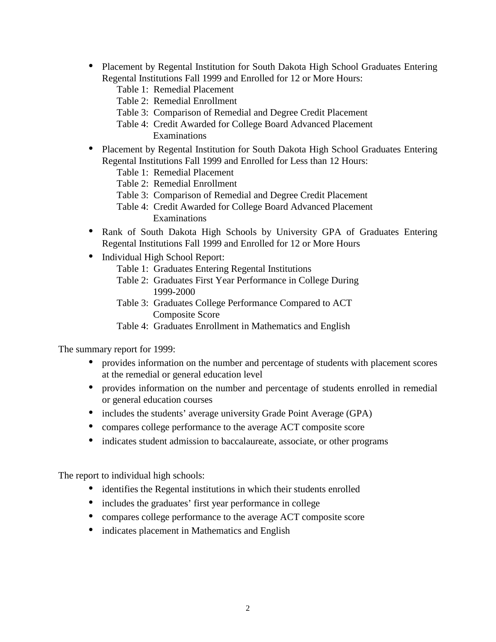- Placement by Regental Institution for South Dakota High School Graduates Entering Regental Institutions Fall 1999 and Enrolled for 12 or More Hours:
	- Table 1: Remedial Placement
	- Table 2: Remedial Enrollment
	- Table 3: Comparison of Remedial and Degree Credit Placement
	- Table 4: Credit Awarded for College Board Advanced Placement Examinations
- Placement by Regental Institution for South Dakota High School Graduates Entering Regental Institutions Fall 1999 and Enrolled for Less than 12 Hours:
	- Table 1: Remedial Placement
	- Table 2: Remedial Enrollment
	- Table 3: Comparison of Remedial and Degree Credit Placement
	- Table 4: Credit Awarded for College Board Advanced Placement Examinations
- Rank of South Dakota High Schools by University GPA of Graduates Entering Regental Institutions Fall 1999 and Enrolled for 12 or More Hours
- Individual High School Report:
	- Table 1: Graduates Entering Regental Institutions
	- Table 2: Graduates First Year Performance in College During 1999-2000
	- Table 3: Graduates College Performance Compared to ACT Composite Score
	- Table 4: Graduates Enrollment in Mathematics and English

The summary report for 1999:

- provides information on the number and percentage of students with placement scores at the remedial or general education level
- provides information on the number and percentage of students enrolled in remedial or general education courses
- includes the students' average university Grade Point Average (GPA)
- compares college performance to the average ACT composite score
- indicates student admission to baccalaureate, associate, or other programs

The report to individual high schools:

- identifies the Regental institutions in which their students enrolled
- includes the graduates' first year performance in college
- compares college performance to the average ACT composite score
- indicates placement in Mathematics and English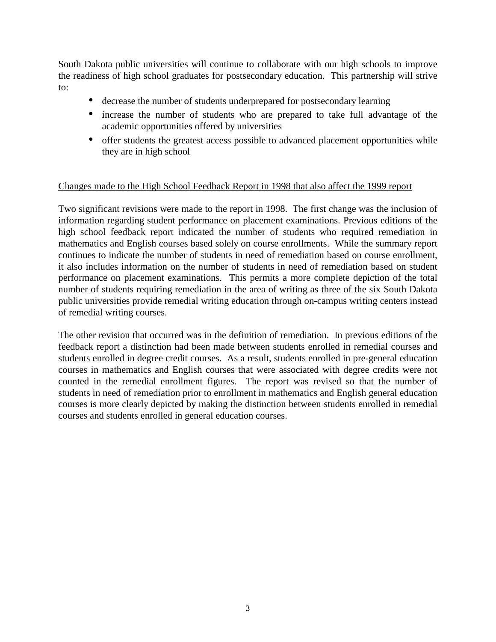South Dakota public universities will continue to collaborate with our high schools to improve the readiness of high school graduates for postsecondary education. This partnership will strive to:

- decrease the number of students underprepared for postsecondary learning
- increase the number of students who are prepared to take full advantage of the academic opportunities offered by universities
- offer students the greatest access possible to advanced placement opportunities while they are in high school

# Changes made to the High School Feedback Report in 1998 that also affect the 1999 report

Two significant revisions were made to the report in 1998. The first change was the inclusion of information regarding student performance on placement examinations. Previous editions of the high school feedback report indicated the number of students who required remediation in mathematics and English courses based solely on course enrollments. While the summary report continues to indicate the number of students in need of remediation based on course enrollment, it also includes information on the number of students in need of remediation based on student performance on placement examinations. This permits a more complete depiction of the total number of students requiring remediation in the area of writing as three of the six South Dakota public universities provide remedial writing education through on-campus writing centers instead of remedial writing courses.

The other revision that occurred was in the definition of remediation. In previous editions of the feedback report a distinction had been made between students enrolled in remedial courses and students enrolled in degree credit courses. As a result, students enrolled in pre-general education courses in mathematics and English courses that were associated with degree credits were not counted in the remedial enrollment figures. The report was revised so that the number of students in need of remediation prior to enrollment in mathematics and English general education courses is more clearly depicted by making the distinction between students enrolled in remedial courses and students enrolled in general education courses.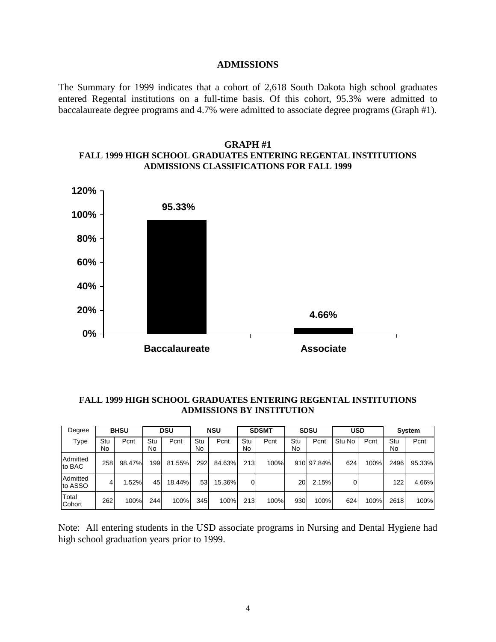#### **ADMISSIONS**

The Summary for 1999 indicates that a cohort of 2,618 South Dakota high school graduates entered Regental institutions on a full-time basis. Of this cohort, 95.3% were admitted to baccalaureate degree programs and 4.7% were admitted to associate degree programs (Graph #1).

### **GRAPH #1 FALL 1999 HIGH SCHOOL GRADUATES ENTERING REGENTAL INSTITUTIONS ADMISSIONS CLASSIFICATIONS FOR FALL 1999**



### **FALL 1999 HIGH SCHOOL GRADUATES ENTERING REGENTAL INSTITUTIONS ADMISSIONS BY INSTITUTION**

| Degree              | <b>BHSU</b> |        | <b>DSU</b> |        | <b>NSU</b> |        | <b>SDSMT</b> |      | <b>SDSU</b> |            | <b>USD</b> |      | System    |        |
|---------------------|-------------|--------|------------|--------|------------|--------|--------------|------|-------------|------------|------------|------|-----------|--------|
| Type                | Stu<br>No   | Pcnt   | Stu<br>No  | Pcnt   | Stu<br>No  | Pcnt   | Stu<br>No    | Pcnt | Stu<br>No   | Pcnt       | Stu<br>No  | Pcnt | Stu<br>No | Pcnt   |
| Admitted<br>to BAC  | 258         | 98.47% | 199        | 81.55% | 292        | 84.63% | 213          | 100% |             | 910 97.84% | 624        | 100% | 2496      | 95.33% |
| Admitted<br>to ASSO | 4           | 1.52%  | 45         | 18.44% | 53         | 15.36% | 0            |      | 20          | 2.15%      |            |      | 122       | 4.66%  |
| Total<br>Cohort     | 262         | 100%   | 244        | 100%   | 345        | 100%   | 213          | 100% | 930         | 100%       | 624        | 100% | 2618      | 100%   |

Note: All entering students in the USD associate programs in Nursing and Dental Hygiene had high school graduation years prior to 1999.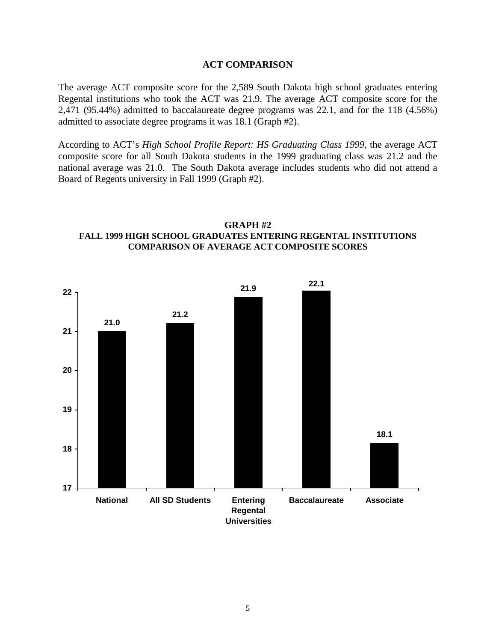### **ACT COMPARISON**

The average ACT composite score for the 2,589 South Dakota high school graduates entering Regental institutions who took the ACT was 21.9. The average ACT composite score for the 2,471 (95.44%) admitted to baccalaureate degree programs was 22.1, and for the 118 (4.56%) admitted to associate degree programs it was 18.1 (Graph #2).

According to ACT's *High School Profile Report: HS Graduating Class 1999*, the average ACT composite score for all South Dakota students in the 1999 graduating class was 21.2 and the national average was 21.0. The South Dakota average includes students who did not attend a Board of Regents university in Fall 1999 (Graph #2).

# **GRAPH #2 FALL 1999 HIGH SCHOOL GRADUATES ENTERING REGENTAL INSTITUTIONS COMPARISON OF AVERAGE ACT COMPOSITE SCORES**

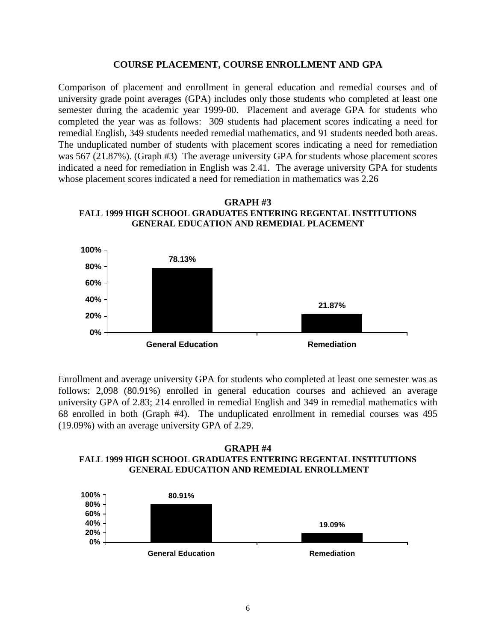### **COURSE PLACEMENT, COURSE ENROLLMENT AND GPA**

Comparison of placement and enrollment in general education and remedial courses and of university grade point averages (GPA) includes only those students who completed at least one semester during the academic year 1999-00. Placement and average GPA for students who completed the year was as follows: 309 students had placement scores indicating a need for remedial English, 349 students needed remedial mathematics, and 91 students needed both areas. The unduplicated number of students with placement scores indicating a need for remediation was 567 (21.87%). (Graph #3) The average university GPA for students whose placement scores indicated a need for remediation in English was 2.41. The average university GPA for students whose placement scores indicated a need for remediation in mathematics was 2.26

**GRAPH #3 FALL 1999 HIGH SCHOOL GRADUATES ENTERING REGENTAL INSTITUTIONS GENERAL EDUCATION AND REMEDIAL PLACEMENT**



Enrollment and average university GPA for students who completed at least one semester was as follows: 2,098 (80.91%) enrolled in general education courses and achieved an average university GPA of 2.83; 214 enrolled in remedial English and 349 in remedial mathematics with 68 enrolled in both (Graph #4). The unduplicated enrollment in remedial courses was 495 (19.09%) with an average university GPA of 2.29.

**GRAPH #4 FALL 1999 HIGH SCHOOL GRADUATES ENTERING REGENTAL INSTITUTIONS GENERAL EDUCATION AND REMEDIAL ENROLLMENT**

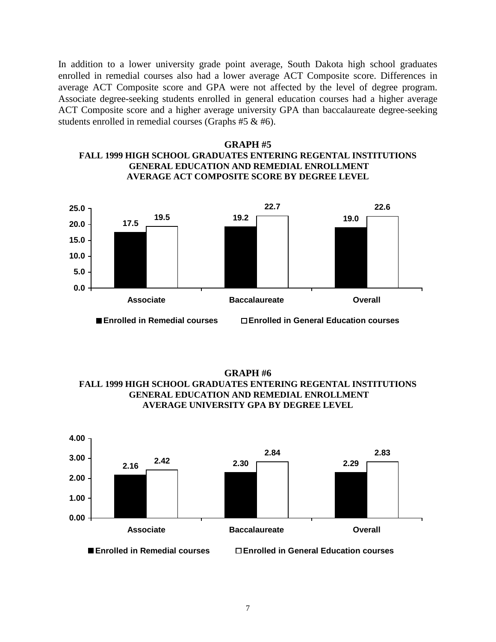In addition to a lower university grade point average, South Dakota high school graduates enrolled in remedial courses also had a lower average ACT Composite score. Differences in average ACT Composite score and GPA were not affected by the level of degree program. Associate degree-seeking students enrolled in general education courses had a higher average ACT Composite score and a higher average university GPA than baccalaureate degree-seeking students enrolled in remedial courses (Graphs #5 & #6).





**GRAPH #6 FALL 1999 HIGH SCHOOL GRADUATES ENTERING REGENTAL INSTITUTIONS GENERAL EDUCATION AND REMEDIAL ENROLLMENT AVERAGE UNIVERSITY GPA BY DEGREE LEVEL**

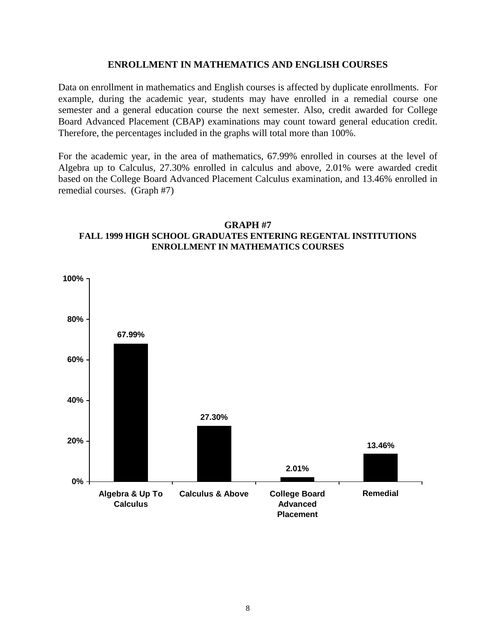## **ENROLLMENT IN MATHEMATICS AND ENGLISH COURSES**

Data on enrollment in mathematics and English courses is affected by duplicate enrollments. For example, during the academic year, students may have enrolled in a remedial course one semester and a general education course the next semester. Also, credit awarded for College Board Advanced Placement (CBAP) examinations may count toward general education credit. Therefore, the percentages included in the graphs will total more than 100%.

For the academic year, in the area of mathematics, 67.99% enrolled in courses at the level of Algebra up to Calculus, 27.30% enrolled in calculus and above, 2.01% were awarded credit based on the College Board Advanced Placement Calculus examination, and 13.46% enrolled in remedial courses. (Graph #7)



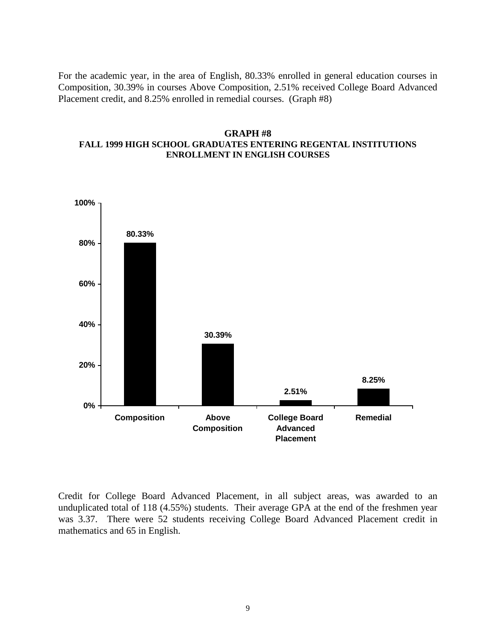For the academic year, in the area of English, 80.33% enrolled in general education courses in Composition, 30.39% in courses Above Composition, 2.51% received College Board Advanced Placement credit, and 8.25% enrolled in remedial courses. (Graph #8)

## **GRAPH #8 FALL 1999 HIGH SCHOOL GRADUATES ENTERING REGENTAL INSTITUTIONS ENROLLMENT IN ENGLISH COURSES**



Credit for College Board Advanced Placement, in all subject areas, was awarded to an unduplicated total of 118 (4.55%) students. Their average GPA at the end of the freshmen year was 3.37. There were 52 students receiving College Board Advanced Placement credit in mathematics and 65 in English.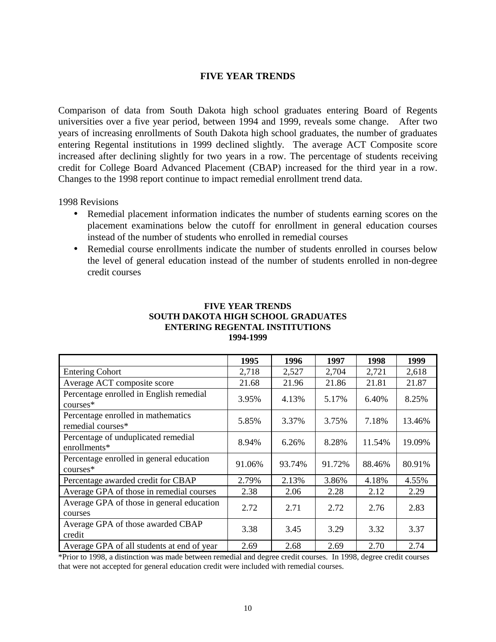# **FIVE YEAR TRENDS**

Comparison of data from South Dakota high school graduates entering Board of Regents universities over a five year period, between 1994 and 1999, reveals some change. After two years of increasing enrollments of South Dakota high school graduates, the number of graduates entering Regental institutions in 1999 declined slightly. The average ACT Composite score increased after declining slightly for two years in a row. The percentage of students receiving credit for College Board Advanced Placement (CBAP) increased for the third year in a row. Changes to the 1998 report continue to impact remedial enrollment trend data.

1998 Revisions

- Remedial placement information indicates the number of students earning scores on the placement examinations below the cutoff for enrollment in general education courses instead of the number of students who enrolled in remedial courses
- Remedial course enrollments indicate the number of students enrolled in courses below the level of general education instead of the number of students enrolled in non-degree credit courses

|                                                         | 1995   | 1996   | 1997   | 1998   | 1999   |
|---------------------------------------------------------|--------|--------|--------|--------|--------|
| <b>Entering Cohort</b>                                  | 2,718  | 2,527  | 2,704  | 2,721  | 2,618  |
| Average ACT composite score                             | 21.68  | 21.96  | 21.86  | 21.81  | 21.87  |
| Percentage enrolled in English remedial<br>$course*$    | 3.95%  | 4.13%  | 5.17%  | 6.40%  | 8.25%  |
| Percentage enrolled in mathematics<br>remedial courses* | 5.85%  | 3.37%  | 3.75%  | 7.18%  | 13.46% |
| Percentage of unduplicated remedial<br>enrollments*     | 8.94%  | 6.26%  | 8.28%  | 11.54% | 19.09% |
| Percentage enrolled in general education<br>courses*    | 91.06% | 93.74% | 91.72% | 88.46% | 80.91% |
| Percentage awarded credit for CBAP                      | 2.79%  | 2.13%  | 3.86%  | 4.18%  | 4.55%  |
| Average GPA of those in remedial courses                | 2.38   | 2.06   | 2.28   | 2.12   | 2.29   |
| Average GPA of those in general education<br>courses    | 2.72   | 2.71   | 2.72   | 2.76   | 2.83   |
| Average GPA of those awarded CBAP<br>credit             | 3.38   | 3.45   | 3.29   | 3.32   | 3.37   |
| Average GPA of all students at end of year              | 2.69   | 2.68   | 2.69   | 2.70   | 2.74   |

### **FIVE YEAR TRENDS SOUTH DAKOTA HIGH SCHOOL GRADUATES ENTERING REGENTAL INSTITUTIONS 1994-1999**

\*Prior to 1998, a distinction was made between remedial and degree credit courses. In 1998, degree credit courses that were not accepted for general education credit were included with remedial courses.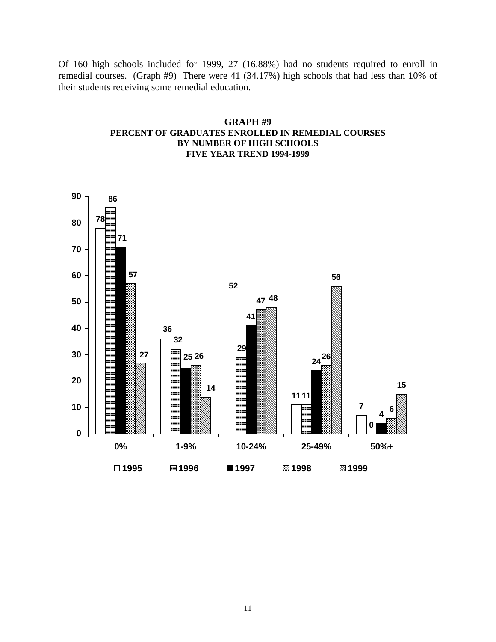Of 160 high schools included for 1999, 27 (16.88%) had no students required to enroll in remedial courses. (Graph #9) There were 41 (34.17%) high schools that had less than 10% of their students receiving some remedial education.

# **GRAPH #9 PERCENT OF GRADUATES ENROLLED IN REMEDIAL COURSES BY NUMBER OF HIGH SCHOOLS FIVE YEAR TREND 1994-1999**

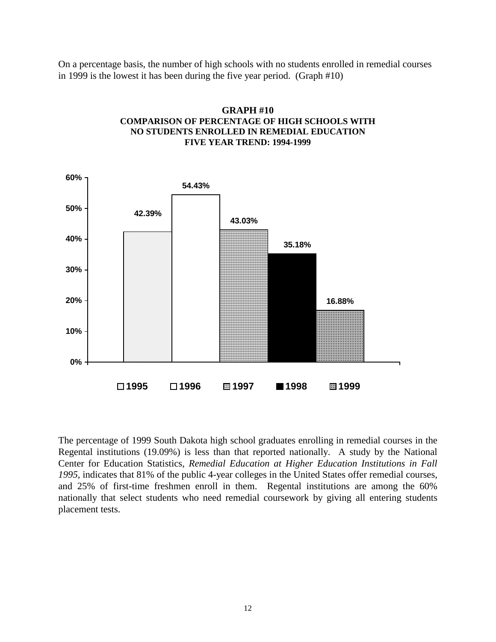On a percentage basis, the number of high schools with no students enrolled in remedial courses in 1999 is the lowest it has been during the five year period. (Graph #10)



**GRAPH #10 COMPARISON OF PERCENTAGE OF HIGH SCHOOLS WITH NO STUDENTS ENROLLED IN REMEDIAL EDUCATION FIVE YEAR TREND: 1994-1999**

The percentage of 1999 South Dakota high school graduates enrolling in remedial courses in the Regental institutions (19.09%) is less than that reported nationally. A study by the National Center for Education Statistics, *Remedial Education at Higher Education Institutions in Fall 1995,* indicates that 81% of the public 4-year colleges in the United States offer remedial courses, and 25% of first-time freshmen enroll in them. Regental institutions are among the 60% nationally that select students who need remedial coursework by giving all entering students placement tests.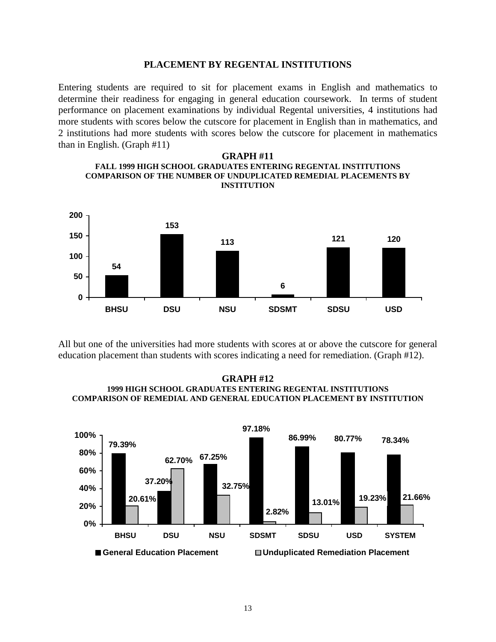#### **PLACEMENT BY REGENTAL INSTITUTIONS**

Entering students are required to sit for placement exams in English and mathematics to determine their readiness for engaging in general education coursework. In terms of student performance on placement examinations by individual Regental universities, 4 institutions had more students with scores below the cutscore for placement in English than in mathematics, and 2 institutions had more students with scores below the cutscore for placement in mathematics than in English. (Graph #11)

#### **GRAPH #11 FALL 1999 HIGH SCHOOL GRADUATES ENTERING REGENTAL INSTITUTIONS COMPARISON OF THE NUMBER OF UNDUPLICATED REMEDIAL PLACEMENTS BY INSTITUTION**



All but one of the universities had more students with scores at or above the cutscore for general education placement than students with scores indicating a need for remediation. (Graph #12).

#### **GRAPH #12 1999 HIGH SCHOOL GRADUATES ENTERING REGENTAL INSTITUTIONS COMPARISON OF REMEDIAL AND GENERAL EDUCATION PLACEMENT BY INSTITUTION**

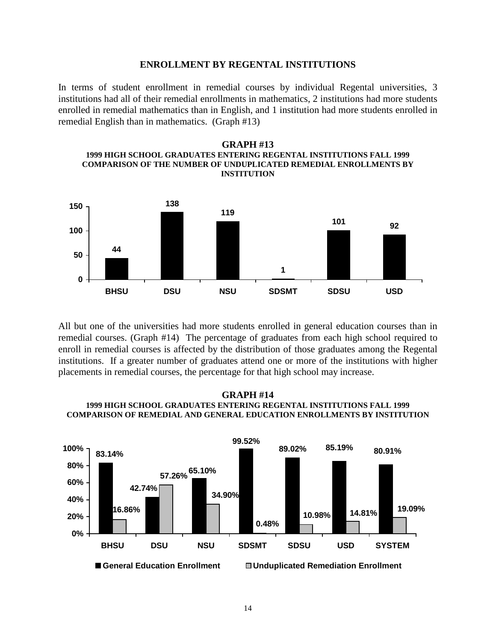#### **ENROLLMENT BY REGENTAL INSTITUTIONS**

In terms of student enrollment in remedial courses by individual Regental universities, 3 institutions had all of their remedial enrollments in mathematics, 2 institutions had more students enrolled in remedial mathematics than in English, and 1 institution had more students enrolled in remedial English than in mathematics. (Graph #13)





All but one of the universities had more students enrolled in general education courses than in remedial courses. (Graph #14) The percentage of graduates from each high school required to enroll in remedial courses is affected by the distribution of those graduates among the Regental institutions. If a greater number of graduates attend one or more of the institutions with higher placements in remedial courses, the percentage for that high school may increase.

### **GRAPH #14 1999 HIGH SCHOOL GRADUATES ENTERING REGENTAL INSTITUTIONS FALL 1999 COMPARISON OF REMEDIAL AND GENERAL EDUCATION ENROLLMENTS BY INSTITUTION**

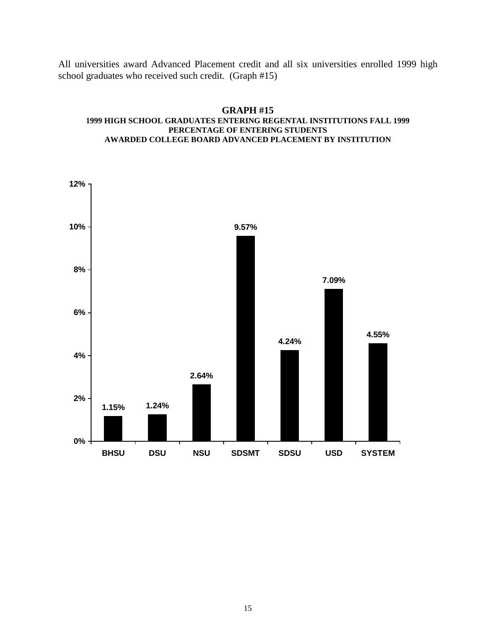All universities award Advanced Placement credit and all six universities enrolled 1999 high school graduates who received such credit. (Graph #15)

#### **GRAPH #15 1999 HIGH SCHOOL GRADUATES ENTERING REGENTAL INSTITUTIONS FALL 1999 PERCENTAGE OF ENTERING STUDENTS AWARDED COLLEGE BOARD ADVANCED PLACEMENT BY INSTITUTION**

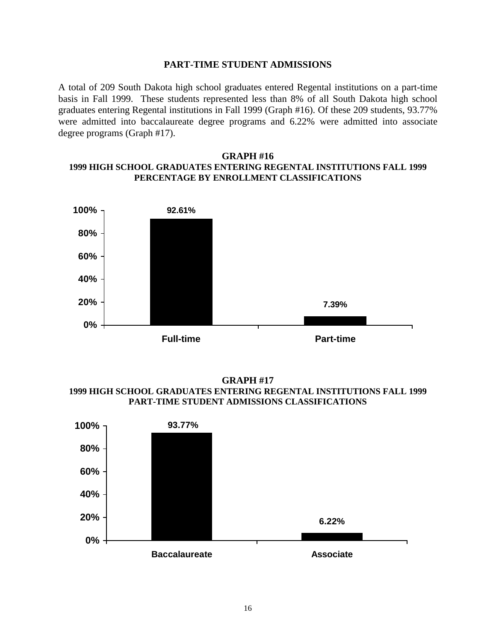### **PART-TIME STUDENT ADMISSIONS**

A total of 209 South Dakota high school graduates entered Regental institutions on a part-time basis in Fall 1999. These students represented less than 8% of all South Dakota high school graduates entering Regental institutions in Fall 1999 (Graph #16). Of these 209 students, 93.77% were admitted into baccalaureate degree programs and 6.22% were admitted into associate degree programs (Graph #17).

# **GRAPH #16 1999 HIGH SCHOOL GRADUATES ENTERING REGENTAL INSTITUTIONS FALL 1999 PERCENTAGE BY ENROLLMENT CLASSIFICATIONS**



**GRAPH #17 1999 HIGH SCHOOL GRADUATES ENTERING REGENTAL INSTITUTIONS FALL 1999 PART-TIME STUDENT ADMISSIONS CLASSIFICATIONS**